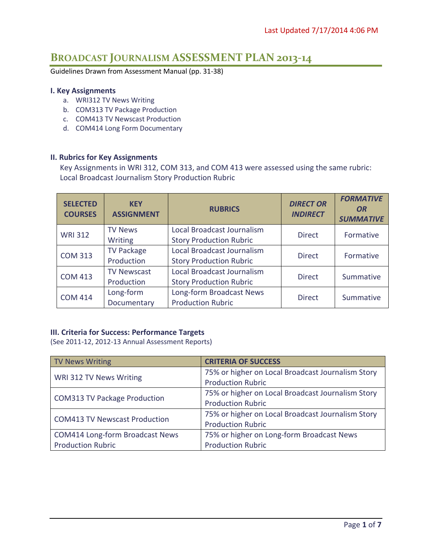# **BROADCAST JOURNALISM ASSESSMENT PLAN 2013-14**

Guidelines Drawn from Assessment Manual (pp. 31-38)

#### **I. Key Assignments**

- a. WRI312 TV News Writing
- b. COM313 TV Package Production
- c. COM413 TV Newscast Production
- d. COM414 Long Form Documentary

### **II. Rubrics for Key Assignments**

Key Assignments in WRI 312, COM 313, and COM 413 were assessed using the same rubric: Local Broadcast Journalism Story Production Rubric

| <b>SELECTED</b><br><b>COURSES</b> | <b>KEY</b><br><b>ASSIGNMENT</b> | <b>RUBRICS</b>                 | <b>DIRECT OR</b><br><b>INDIRECT</b> | <b>FORMATIVE</b><br><b>OR</b><br><b>SUMMATIVE</b> |
|-----------------------------------|---------------------------------|--------------------------------|-------------------------------------|---------------------------------------------------|
| <b>WRI 312</b>                    | <b>TV News</b>                  | Local Broadcast Journalism     | <b>Direct</b>                       | Formative                                         |
|                                   | Writing                         | <b>Story Production Rubric</b> |                                     |                                                   |
| <b>COM 313</b>                    | <b>TV Package</b>               | Local Broadcast Journalism     | <b>Direct</b>                       | Formative                                         |
|                                   | Production                      | <b>Story Production Rubric</b> |                                     |                                                   |
| <b>COM 413</b>                    | <b>TV Newscast</b>              | Local Broadcast Journalism     | <b>Direct</b>                       | Summative                                         |
|                                   | Production                      | <b>Story Production Rubric</b> |                                     |                                                   |
| <b>COM 414</b>                    | Long-form                       | Long-form Broadcast News       | <b>Direct</b>                       | Summative                                         |
|                                   | Documentary                     | <b>Production Rubric</b>       |                                     |                                                   |

### **III. Criteria for Success: Performance Targets**

(See 2011-12, 2012-13 Annual Assessment Reports)

| TV News Writing                        | <b>CRITERIA OF SUCCESS</b>                        |
|----------------------------------------|---------------------------------------------------|
| WRI 312 TV News Writing                | 75% or higher on Local Broadcast Journalism Story |
|                                        | <b>Production Rubric</b>                          |
| <b>COM313 TV Package Production</b>    | 75% or higher on Local Broadcast Journalism Story |
|                                        | <b>Production Rubric</b>                          |
| <b>COM413 TV Newscast Production</b>   | 75% or higher on Local Broadcast Journalism Story |
|                                        | <b>Production Rubric</b>                          |
| <b>COM414 Long-form Broadcast News</b> | 75% or higher on Long-form Broadcast News         |
| <b>Production Rubric</b>               | <b>Production Rubric</b>                          |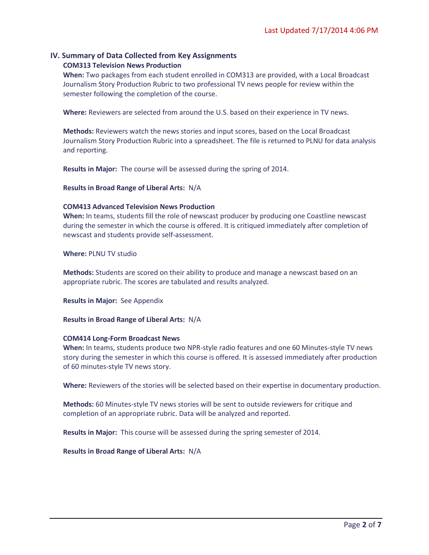# **IV. Summary of Data Collected from Key Assignments**

### **COM313 Television News Production**

**When:** Two packages from each student enrolled in COM313 are provided, with a Local Broadcast Journalism Story Production Rubric to two professional TV news people for review within the semester following the completion of the course.

**Where:** Reviewers are selected from around the U.S. based on their experience in TV news.

**Methods:** Reviewers watch the news stories and input scores, based on the Local Broadcast Journalism Story Production Rubric into a spreadsheet. The file is returned to PLNU for data analysis and reporting.

**Results in Major:** The course will be assessed during the spring of 2014.

**Results in Broad Range of Liberal Arts:** N/A

### **COM413 Advanced Television News Production**

**When:** In teams, students fill the role of newscast producer by producing one Coastline newscast during the semester in which the course is offered. It is critiqued immediately after completion of newscast and students provide self-assessment.

**Where:** PLNU TV studio

**Methods:** Students are scored on their ability to produce and manage a newscast based on an appropriate rubric. The scores are tabulated and results analyzed.

**Results in Major:** See Appendix

**Results in Broad Range of Liberal Arts:** N/A

### **COM414 Long-Form Broadcast News**

**When:** In teams, students produce two NPR-style radio features and one 60 Minutes-style TV news story during the semester in which this course is offered. It is assessed immediately after production of 60 minutes-style TV news story.

**Where:** Reviewers of the stories will be selected based on their expertise in documentary production.

**Methods:** 60 Minutes-style TV news stories will be sent to outside reviewers for critique and completion of an appropriate rubric. Data will be analyzed and reported.

**Results in Major:** This course will be assessed during the spring semester of 2014.

**Results in Broad Range of Liberal Arts:** N/A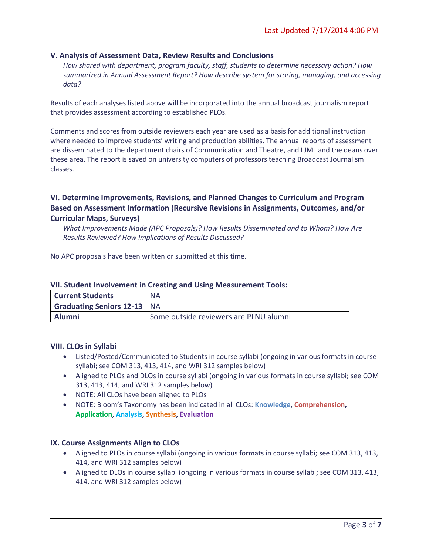### **V. Analysis of Assessment Data, Review Results and Conclusions**

*How shared with department, program faculty, staff, students to determine necessary action? How summarized in Annual Assessment Report? How describe system for storing, managing, and accessing data?*

Results of each analyses listed above will be incorporated into the annual broadcast journalism report that provides assessment according to established PLOs.

Comments and scores from outside reviewers each year are used as a basis for additional instruction where needed to improve students' writing and production abilities. The annual reports of assessment are disseminated to the department chairs of Communication and Theatre, and LJML and the deans over these area. The report is saved on university computers of professors teaching Broadcast Journalism classes.

### **VI. Determine Improvements, Revisions, and Planned Changes to Curriculum and Program Based on Assessment Information (Recursive Revisions in Assignments, Outcomes, and/or Curricular Maps, Surveys)**

*What Improvements Made (APC Proposals)? How Results Disseminated and to Whom? How Are Results Reviewed? How Implications of Results Discussed?*

No APC proposals have been written or submitted at this time.

| <b>Current Students</b>     | <b>NA</b>                              |
|-----------------------------|----------------------------------------|
| Graduating Seniors 12-13 NA |                                        |
| <b>Alumni</b>               | Some outside reviewers are PLNU alumni |

### **VII. Student Involvement in Creating and Using Measurement Tools:**

### **VIII. CLOs in Syllabi**

- Listed/Posted/Communicated to Students in course syllabi (ongoing in various formats in course syllabi; see COM 313, 413, 414, and WRI 312 samples below)
- Aligned to PLOs and DLOs in course syllabi (ongoing in various formats in course syllabi; see COM 313, 413, 414, and WRI 312 samples below)
- NOTE: All CLOs have been aligned to PLOs
- NOTE: Bloom's Taxonomy has been indicated in all CLOs: **Knowledge, Comprehension, Application, Analysis, Synthesis, Evaluation**

### **IX. Course Assignments Align to CLOs**

- Aligned to PLOs in course syllabi (ongoing in various formats in course syllabi; see COM 313, 413, 414, and WRI 312 samples below)
- Aligned to DLOs in course syllabi (ongoing in various formats in course syllabi; see COM 313, 413, 414, and WRI 312 samples below)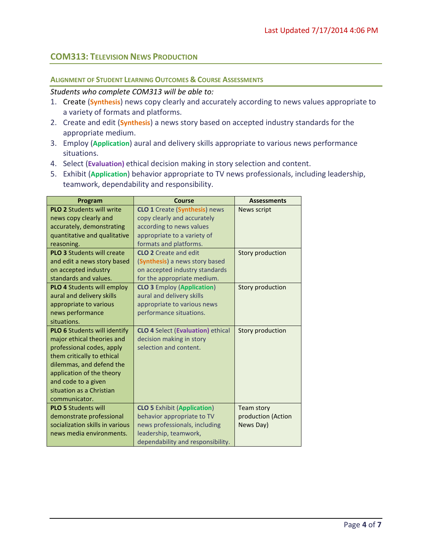# **COM313: TELEVISION NEWS PRODUCTION**

### **ALIGNMENT OF STUDENT LEARNING OUTCOMES & COURSE ASSESSMENTS**

### *Students who complete COM313 will be able to:*

- 1. Create (**Synthesis**) news copy clearly and accurately according to news values appropriate to a variety of formats and platforms.
- 2. Create and edit (**Synthesis**) a news story based on accepted industry standards for the appropriate medium.
- 3. Employ (**Application**) aural and delivery skills appropriate to various news performance situations.
- 4. Select (**Evaluation)** ethical decision making in story selection and content.
- 5. Exhibit (**Application**) behavior appropriate to TV news professionals, including leadership, teamwork, dependability and responsibility.

| Program                             | Course                                   | <b>Assessments</b> |
|-------------------------------------|------------------------------------------|--------------------|
| <b>PLO 2 Students will write</b>    | <b>CLO 1</b> Create (Synthesis) news     | <b>News script</b> |
| news copy clearly and               | copy clearly and accurately              |                    |
| accurately, demonstrating           | according to news values                 |                    |
| quantitative and qualitative        | appropriate to a variety of              |                    |
| reasoning.                          | formats and platforms.                   |                    |
| <b>PLO 3 Students will create</b>   | <b>CLO 2</b> Create and edit             | Story production   |
| and edit a news story based         | (Synthesis) a news story based           |                    |
| on accepted industry                | on accepted industry standards           |                    |
| standards and values.               | for the appropriate medium.              |                    |
| <b>PLO 4 Students will employ</b>   | <b>CLO 3</b> Employ (Application)        | Story production   |
| aural and delivery skills           | aural and delivery skills                |                    |
| appropriate to various              | appropriate to various news              |                    |
| news performance                    | performance situations.                  |                    |
| situations.                         |                                          |                    |
| <b>PLO 6</b> Students will identify | <b>CLO 4 Select (Evaluation) ethical</b> | Story production   |
| major ethical theories and          | decision making in story                 |                    |
| professional codes, apply           | selection and content.                   |                    |
| them critically to ethical          |                                          |                    |
| dilemmas, and defend the            |                                          |                    |
| application of the theory           |                                          |                    |
| and code to a given                 |                                          |                    |
| situation as a Christian            |                                          |                    |
| communicator.                       |                                          |                    |
| <b>PLO 5 Students will</b>          | <b>CLO 5 Exhibit (Application)</b>       | Team story         |
| demonstrate professional            | behavior appropriate to TV               | production (Action |
| socialization skills in various     | news professionals, including            | News Day)          |
| news media environments.            | leadership, teamwork,                    |                    |
|                                     | dependability and responsibility.        |                    |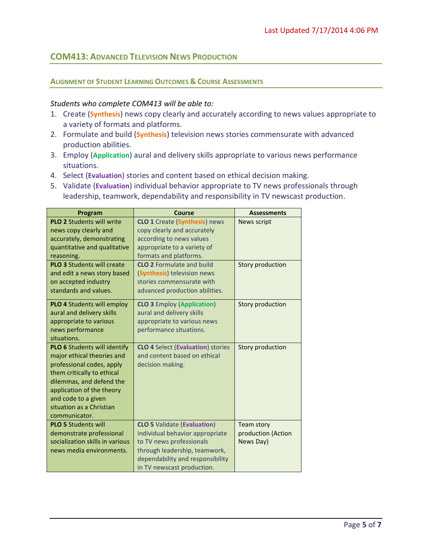# **COM413: ADVANCED TELEVISION NEWS PRODUCTION**

### **ALIGNMENT OF STUDENT LEARNING OUTCOMES & COURSE ASSESSMENTS**

### *Students who complete COM413 will be able to:*

- 1. Create (**Synthesis**) news copy clearly and accurately according to news values appropriate to a variety of formats and platforms.
- 2. Formulate and build (**Synthesis**) television news stories commensurate with advanced production abilities.
- 3. Employ (**Application**) aural and delivery skills appropriate to various news performance situations.
- 4. Select (**Evaluation**) stories and content based on ethical decision making.
- 5. Validate (**Evaluation**) individual behavior appropriate to TV news professionals through leadership, teamwork, dependability and responsibility in TV newscast production.

| Program                           | Course                                   | <b>Assessments</b> |
|-----------------------------------|------------------------------------------|--------------------|
| <b>PLO 2 Students will write</b>  | <b>CLO 1</b> Create (Synthesis) news     | <b>News script</b> |
| news copy clearly and             | copy clearly and accurately              |                    |
| accurately, demonstrating         | according to news values                 |                    |
| quantitative and qualitative      | appropriate to a variety of              |                    |
| reasoning.                        | formats and platforms.                   |                    |
| <b>PLO 3</b> Students will create | <b>CLO 2</b> Formulate and build         | Story production   |
| and edit a news story based       | (Synthesis) television news              |                    |
| on accepted industry              | stories commensurate with                |                    |
| standards and values.             | advanced production abilities.           |                    |
| <b>PLO 4 Students will employ</b> | <b>CLO 3 Employ (Application)</b>        | Story production   |
| aural and delivery skills         | aural and delivery skills                |                    |
| appropriate to various            | appropriate to various news              |                    |
| news performance                  | performance situations.                  |                    |
| situations.                       |                                          |                    |
| PLO 6 Students will identify      | <b>CLO 4 Select (Evaluation) stories</b> | Story production   |
| major ethical theories and        | and content based on ethical             |                    |
| professional codes, apply         | decision making.                         |                    |
| them critically to ethical        |                                          |                    |
| dilemmas, and defend the          |                                          |                    |
| application of the theory         |                                          |                    |
| and code to a given               |                                          |                    |
| situation as a Christian          |                                          |                    |
| communicator.                     |                                          |                    |
| <b>PLO 5 Students will</b>        | <b>CLO 5 Validate (Evaluation)</b>       | Team story         |
| demonstrate professional          | individual behavior appropriate          | production (Action |
| socialization skills in various   | to TV news professionals                 | News Day)          |
| news media environments.          | through leadership, teamwork,            |                    |
|                                   | dependability and responsibility         |                    |
|                                   | in TV newscast production.               |                    |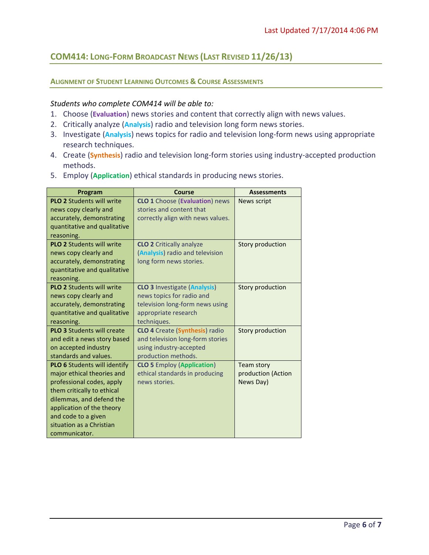# **COM414: LONG-FORM BROADCAST NEWS (LAST REVISED 11/26/13)**

### **ALIGNMENT OF STUDENT LEARNING OUTCOMES & COURSE ASSESSMENTS**

### *Students who complete COM414 will be able to:*

- 1. Choose (**Evaluation**) news stories and content that correctly align with news values.
- 2. Critically analyze (**Analysis**) radio and television long form news stories.
- 3. Investigate (**Analysis**) news topics for radio and television long-form news using appropriate research techniques.
- 4. Create (**Synthesis**) radio and television long-form stories using industry-accepted production methods.
- 5. Employ (**Application**) ethical standards in producing news stories.

| Program                                                                                                                                                                                                                                                   | <b>Course</b>                                                                                                                              | <b>Assessments</b>                                   |
|-----------------------------------------------------------------------------------------------------------------------------------------------------------------------------------------------------------------------------------------------------------|--------------------------------------------------------------------------------------------------------------------------------------------|------------------------------------------------------|
| <b>PLO 2 Students will write</b><br>news copy clearly and<br>accurately, demonstrating<br>quantitative and qualitative<br>reasoning.                                                                                                                      | <b>CLO 1</b> Choose (Evaluation) news<br>stories and content that<br>correctly align with news values.                                     | <b>News script</b>                                   |
| <b>PLO 2 Students will write</b><br>news copy clearly and<br>accurately, demonstrating<br>quantitative and qualitative<br>reasoning.                                                                                                                      | <b>CLO 2</b> Critically analyze<br>(Analysis) radio and television<br>long form news stories.                                              | Story production                                     |
| <b>PLO 2 Students will write</b><br>news copy clearly and<br>accurately, demonstrating<br>quantitative and qualitative<br>reasoning.                                                                                                                      | <b>CLO 3 Investigate (Analysis)</b><br>news topics for radio and<br>television long-form news using<br>appropriate research<br>techniques. | Story production                                     |
| <b>PLO 3 Students will create</b><br>and edit a news story based<br>on accepted industry<br>standards and values.                                                                                                                                         | <b>CLO 4</b> Create (Synthesis) radio<br>and television long-form stories<br>using industry-accepted<br>production methods.                | Story production                                     |
| <b>PLO 6</b> Students will identify<br>major ethical theories and<br>professional codes, apply<br>them critically to ethical<br>dilemmas, and defend the<br>application of the theory<br>and code to a given<br>situation as a Christian<br>communicator. | <b>CLO 5</b> Employ (Application)<br>ethical standards in producing<br>news stories.                                                       | <b>Team story</b><br>production (Action<br>News Day) |